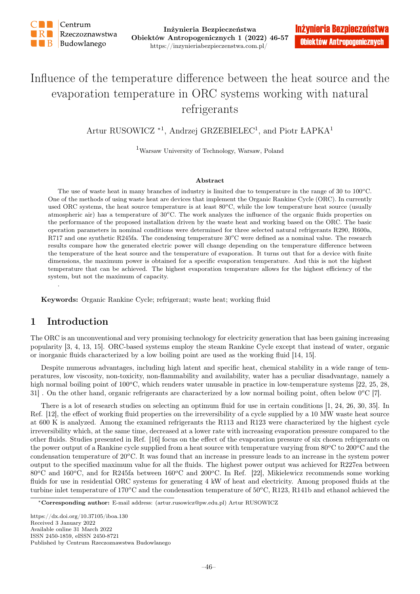

# Influence of the temperature difference between the heat source and the evaporation temperature in ORC systems working with natural refrigerants

Artur RUSOWICZ<sup>\*1</sup>, Andrzej GRZEBIELEC<sup>1</sup>, and Piotr ŁAPKA<sup>1</sup>

<sup>1</sup>Warsaw University of Technology, Warsaw, Poland

#### Abstract

The use of waste heat in many branches of industry is limited due to temperature in the range of  $30$  to  $100^{\circ}$ C. One of the methods of using waste heat are devices that implement the Organic Rankine Cycle (ORC). In currently used ORC systems, the heat source temperature is at least  $80^{\circ}$ C, while the low temperature heat source (usually atmospheric air) has a temperature of  $30^{\circ}$ C. The work analyzes the influence of the organic fluids properties on the performance of the proposed installation driven by the waste heat and working based on the ORC. The basic operation parameters in nominal conditions were determined for three selected natural refrigerants R290, R600a, R717 and one synthetic R245fa. The condensing temperature  $30^{\circ}$ C were defined as a nominal value. The research results compare how the generated electric power will change depending on the temperature difference between the temperature of the heat source and the temperature of evaporation. It turns out that for a device with finite dimensions, the maximum power is obtained for a specific evaporation temperature. And this is not the highest temperature that can be achieved. The highest evaporation temperature allows for the highest efficiency of the system, but not the maximum of capacity.

Keywords: Organic Rankine Cycle; refrigerant; waste heat; working fluid

## 1 Introduction

.

The ORC is an unconventional and very promising technology for electricity generation that has been gaining increasing popularity [3, 4, 13, 15]. ORC-based systems employ the steam Rankine Cycle except that instead of water, organic or inorganic fluids characterized by a low boiling point are used as the working fluid [14, 15].

Despite numerous advantages, including high latent and specific heat, chemical stability in a wide range of temperatures, low viscosity, non-toxicity, non-flammability and availability, water has a peculiar disadvantage, namely a high normal boiling point of  $100^{\circ}$ C, which renders water unusable in practice in low-temperature systems [22, 25, 28, 31]. On the other hand, organic refrigerants are characterized by a low normal boiling point, often below  $0^{\circ}C$  [7].

There is a lot of research studies on selecting an optimum fluid for use in certain conditions [1, 24, 26, 30, 35]. In Ref. [12], the effect of working fluid properties on the irreversibility of a cycle supplied by a 10 MW waste heat source at 600 K is analyzed. Among the examined refrigerants the R113 and R123 were characterized by the highest cycle irreversibility which, at the same time, decreased at a lower rate with increasing evaporation pressure compared to the other fluids. Studies presented in Ref. [16] focus on the effect of the evaporation pressure of six chosen refrigerants on the power output of a Rankine cycle supplied from a heat source with temperature varying from  $80^{\circ}$ C to  $200^{\circ}$ C and the condensation temperature of  $20^{\circ}$ C. It was found that an increase in pressure leads to an increase in the system power output to the specified maximum value for all the fluids. The highest power output was achieved for R227ea between  $80^{\circ}$ C and  $160^{\circ}$ C, and for R245fa between  $160^{\circ}$ C and  $200^{\circ}$ C. In Ref. [22], Mikielewicz recommends some working fluids for use in residential ORC systems for generating 4 kW of heat and electricity. Among proposed fluids at the turbine inlet temperature of  $170^{\circ}\text{C}$  and the condensation temperature of  $50^{\circ}\text{C}$ , R123, R141b and ethanol achieved the

https://dx.doi.org/10.37105/iboa.130 Received 3 January 2022 Available online 31 March 2022 ISSN 2450-1859, eISSN 2450-8721 Published by Centrum Rzeczoznawstwa Budowlanego

<sup>∗</sup>Corresponding author: E-mail address: (artur.rusowicz@pw.edu.pl) Artur RUSOWICZ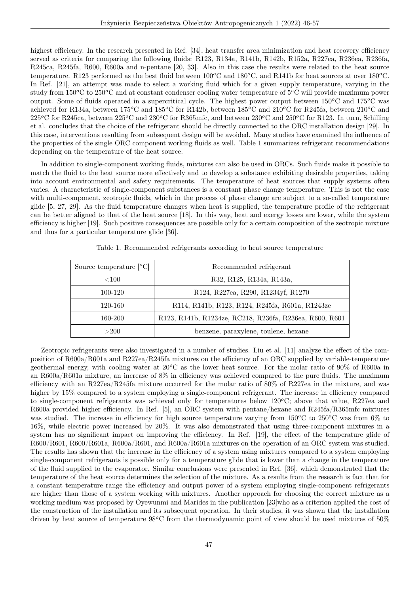highest efficiency. In the research presented in Ref. [34], heat transfer area minimization and heat recovery efficiency served as criteria for comparing the following fluids: R123, R134a, R141b, R142b, R152a, R227ea, R236ea, R236fa, R245ca, R245fa, R600, R600a and n-pentane [20, 33]. Also in this case the results were related to the heat source temperature. R123 performed as the best fluid between  $100^{\circ}\text{C}$  and  $180^{\circ}\text{C}$ , and R141b for heat sources at over  $180^{\circ}\text{C}$ . In Ref. [21], an attempt was made to select a working fluid which for a given supply temperature, varying in the study from  $150^{\circ}$ C to  $250^{\circ}$ C and at constant condenser cooling water temperature of  $5^{\circ}$ C will provide maximum power output. Some of fluids operated in a supercritical cycle. The highest power output between  $150^{\circ}$ C and  $175^{\circ}$ C was achieved for R134a, between  $175^{\circ}$ C and  $185^{\circ}$ C for R142b, between  $185^{\circ}$ C and  $210^{\circ}$ C for R245fa, between  $210^{\circ}$ C and  $225^oC$  for R245ca, between  $225^oC$  and  $230^oC$  for R365mfc, and between  $230^oC$  and  $250^oC$  for R123. In turn, Schilling et al. concludes that the choice of the refrigerant should be directly connected to the ORC installation design [29]. In this case, interventions resulting from subsequent design will be avoided. Many studies have examined the influence of the properties of the single ORC component working fluids as well. Table 1 summarizes refrigerant recommendations depending on the temperature of the heat source.

In addition to single-component working fluids, mixtures can also be used in ORCs. Such fluids make it possible to match the fluid to the heat source more effectively and to develop a substance exhibiting desirable properties, taking into account environmental and safety requirements. The temperature of heat sources that supply systems often varies. A characteristic of single-component substances is a constant phase change temperature. This is not the case with multi-component, zeotropic fluids, which in the process of phase change are subject to a so-called temperature glide [5, 27, 29]. As the fluid temperature changes when heat is supplied, the temperature profile of the refrigerant can be better aligned to that of the heat source [18]. In this way, heat and exergy losses are lower, while the system efficiency is higher [19]. Such positive consequences are possible only for a certain composition of the zeotropic mixture and thus for a particular temperature glide [36].

| Source temperature $\lbrack^{o}C\rbrack$ | Recommended refrigerant                                 |
|------------------------------------------|---------------------------------------------------------|
| ${<}100$                                 | R32, R125, R134a, R143a,                                |
| 100-120                                  | R124, R227ea, R290, R1234yf, R1270                      |
| 120-160                                  | R114, R141b, R123, R124, R245fa, R601a, R1243ze         |
| 160-200                                  | R123, R141b, R1234ze, RC218, R236fa, R236ea, R600, R601 |
| >200                                     | benzene, paraxylene, toulene, hexane                    |

Table 1. Recommended refrigerants according to heat source temperature

Zeotropic refrigerants were also investigated in a number of studies. Liu et al. [11] analyze the effect of the composition of R600a/R601a and R227ea/R245fa mixtures on the efficiency of an ORC supplied by variable-temperature geothermal energy, with cooling water at  $20^{\circ}$ C as the lower heat source. For the molar ratio of  $90\%$  of R600a in an R600a/R601a mixture, an increase of 8% in efficiency was achieved compared to the pure fluids. The maximum efficiency with an R227ea/R245fa mixture occurred for the molar ratio of 80% of R227ea in the mixture, and was higher by 15% compared to a system employing a single-component refrigerant. The increase in efficiency compared to single-component refrigerants was achieved only for temperatures below  $120^{\circ}$ C; above that value, R227ea and R600a provided higher efficiency. In Ref. [5], an ORC system with pentane/hexane and R245fa/R365mfc mixtures was studied. The increase in efficiency for high source temperature varying from  $150^{\circ}$ C to  $250^{\circ}$ C was from 6% to 16%, while electric power increased by 20%. It was also demonstrated that using three-component mixtures in a system has no significant impact on improving the efficiency. In Ref. [19], the effect of the temperature glide of R600/R601, R600/R601a, R600a/R601, and R600a/R601a mixtures on the operation of an ORC system was studied. The results has shown that the increase in the efficiency of a system using mixtures compared to a system employing single-component refrigerants is possible only for a temperature glide that is lower than a change in the temperature of the fluid supplied to the evaporator. Similar conclusions were presented in Ref. [36], which demonstrated that the temperature of the heat source determines the selection of the mixture. As a results from the research is fact that for a constant temperature range the efficiency and output power of a system employing single-component refrigerants are higher than those of a system working with mixtures. Another approach for choosing the correct mixture as a working medium was proposed by Oyewunmi and Marides in the publication [23]who as a criterion applied the cost of the construction of the installation and its subsequent operation. In their studies, it was shown that the installation driven by heat source of temperature  $98^{\circ}$ C from the thermodynamic point of view should be used mixtures of  $50\%$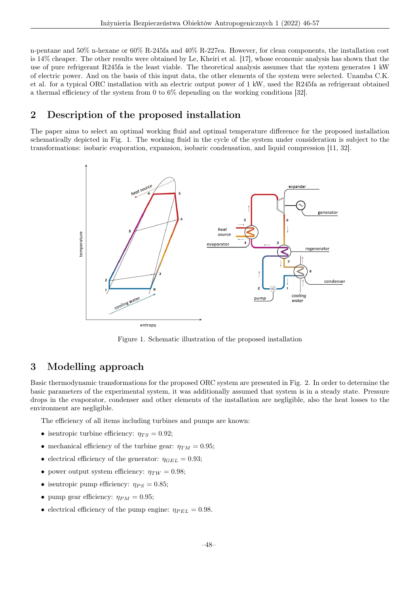n-pentane and 50% n-hexane or 60% R-245fa and 40% R-227ea. However, for clean components, the installation cost is 14% cheaper. The other results were obtained by Le, Kheiri et al. [17], whose economic analysis has shown that the use of pure refrigerant R245fa is the least viable. The theoretical analysis assumes that the system generates 1 kW of electric power. And on the basis of this input data, the other elements of the system were selected. Unamba C.K. et al. for a typical ORC installation with an electric output power of 1 kW, used the R245fa as refrigerant obtained a thermal efficiency of the system from 0 to 6% depending on the working conditions [32].

## 2 Description of the proposed installation

The paper aims to select an optimal working fluid and optimal temperature difference for the proposed installation schematically depicted in Fig. 1. The working fluid in the cycle of the system under consideration is subject to the transformations: isobaric evaporation, expansion, isobaric condensation, and liquid compression [11, 32].



Figure 1. Schematic illustration of the proposed installation

## 3 Modelling approach

Basic thermodynamic transformations for the proposed ORC system are presented in Fig. 2. In order to determine the basic parameters of the experimental system, it was additionally assumed that system is in a steady state. Pressure drops in the evaporator, condenser and other elements of the installation are negligible, also the heat losses to the environment are negligible.

The efficiency of all items including turbines and pumps are known:

- isentropic turbine efficiency:  $\eta_{TS} = 0.92$ ;
- mechanical efficiency of the turbine gear:  $\eta_{TM} = 0.95$ ;
- electrical efficiency of the generator:  $\eta_{GEL} = 0.93$ ;
- power output system efficiency:  $\eta_{TW} = 0.98$ ;
- isentropic pump efficiency:  $\eta_{PS} = 0.85$ ;
- pump gear efficiency:  $\eta_{PM} = 0.95$ ;
- electrical efficiency of the pump engine:  $\eta_{PEL} = 0.98$ .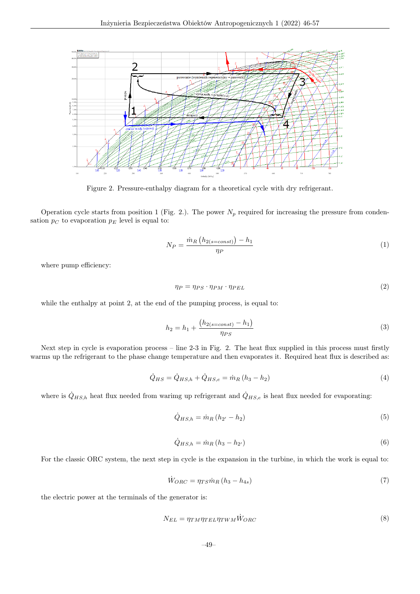

Figure 2. Pressure-enthalpy diagram for a theoretical cycle with dry refrigerant.

Operation cycle starts from position 1 (Fig. 2.). The power  $N_p$  required for increasing the pressure from condensation  $p<sub>C</sub>$  to evaporation  $p<sub>E</sub>$  level is equal to:

$$
N_P = \frac{\dot{m}_R \left( h_{2(s=const)} \right) - h_1}{\eta_P} \tag{1}
$$

where pump efficiency:

$$
\eta_P = \eta_{PS} \cdot \eta_{PM} \cdot \eta_{PEL} \tag{2}
$$

while the enthalpy at point 2, at the end of the pumping process, is equal to:

$$
h_2 = h_1 + \frac{(h_{2(s=const)} - h_1)}{\eta_{PS}}
$$
\n(3)

Next step in cycle is evaporation process – line 2-3 in Fig. 2. The heat flux supplied in this process must firstly warms up the refrigerant to the phase change temperature and then evaporates it. Required heat flux is described as:

$$
\dot{Q}_{HS} = \dot{Q}_{HS,h} + \dot{Q}_{HS,e} = \dot{m}_R \left( h_3 - h_2 \right) \tag{4}
$$

where is  $\dot{Q}_{HS,h}$  heat flux needed from warimg up refrigerant and  $\dot{Q}_{HS,e}$  is heat flux needed for evaporating:

$$
\dot{Q}_{HS,h} = \dot{m}_R \left( h_{2'} - h_2 \right) \tag{5}
$$

$$
\dot{Q}_{HS,h} = \dot{m}_R \left( h_3 - h_{2'} \right) \tag{6}
$$

For the classic ORC system, the next step in cycle is the expansion in the turbine, in which the work is equal to:

$$
\dot{W}_{ORC} = \eta_{TS} \dot{m}_R \left( h_3 - h_{4s} \right) \tag{7}
$$

the electric power at the terminals of the generator is:

$$
N_{EL} = \eta_{TM} \eta_{TEL} \eta_{TWM} \dot{W}_{ORC}
$$
\n
$$
\tag{8}
$$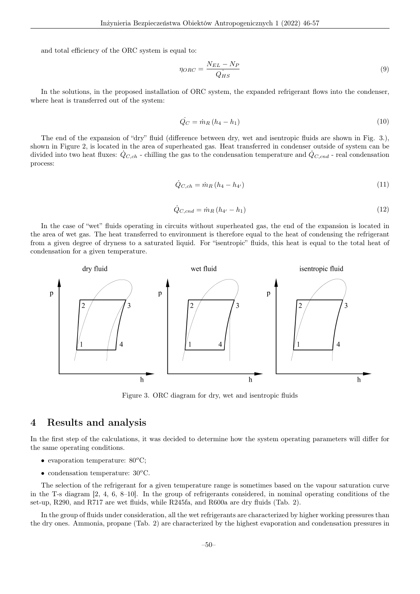and total efficiency of the ORC system is equal to:

$$
\eta_{ORC} = \frac{N_{EL} - N_P}{Q_{HS}}\tag{9}
$$

In the solutions, in the proposed installation of ORC system, the expanded refrigerant flows into the condenser, where heat is transferred out of the system:

$$
\dot{Q}_C = \dot{m}_R \left( h_4 - h_1 \right) \tag{10}
$$

The end of the expansion of "dry" fluid (difference between dry, wet and isentropic fluids are shown in Fig. 3.), shown in Figure 2, is located in the area of superheated gas. Heat transferred in condenser outside of system can be divided into two heat fluxes:  $\dot{Q}_{C,ch}$  - chilling the gas to the condensation temperature and  $\dot{Q}_{C,end}$  - real condensation process:

$$
\dot{Q}_{C,ch} = \dot{m}_R \left( h_4 - h_{4'} \right) \tag{11}
$$

$$
\dot{Q}_{C,end} = \dot{m}_R \left( h_{4'} - h_1 \right) \tag{12}
$$

In the case of "wet" fluids operating in circuits without superheated gas, the end of the expansion is located in the area of wet gas. The heat transferred to environment is therefore equal to the heat of condensing the refrigerant from a given degree of dryness to a saturated liquid. For "isentropic" fluids, this heat is equal to the total heat of condensation for a given temperature.



Figure 3. ORC diagram for dry, wet and isentropic fluids

#### 4 Results and analysis

In the first step of the calculations, it was decided to determine how the system operating parameters will differ for the same operating conditions.

- evaporation temperature:  $80^{\circ}$ C:
- condensation temperature:  $30^{\circ}$ C.

The selection of the refrigerant for a given temperature range is sometimes based on the vapour saturation curve in the T-s diagram [2, 4, 6, 8–10]. In the group of refrigerants considered, in nominal operating conditions of the set-up, R290, and R717 are wet fluids, while R245fa, and R600a are dry fluids (Tab. 2).

In the group of fluids under consideration, all the wet refrigerants are characterized by higher working pressures than the dry ones. Ammonia, propane (Tab. 2) are characterized by the highest evaporation and condensation pressures in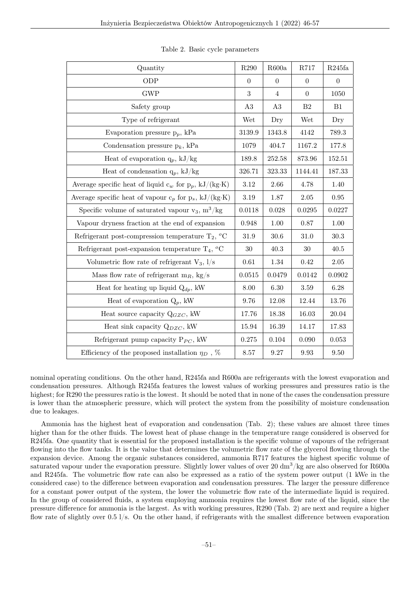| Quantity                                                                                                                |           | R600a          | R717                | R245fa         |
|-------------------------------------------------------------------------------------------------------------------------|-----------|----------------|---------------------|----------------|
| ODP                                                                                                                     |           | $\overline{0}$ | $\Omega$            | $\overline{0}$ |
| $\operatorname{GWP}$                                                                                                    |           | $\overline{4}$ | $\overline{0}$      | 1050           |
| Safety group                                                                                                            | A3        | A3             | B <sub>2</sub>      | B1             |
| Type of refrigerant                                                                                                     | Wet       | Dry            | Wet                 | Dry            |
| Evaporation pressure $p_p$ , kPa                                                                                        | 3139.9    | 1343.8         | 4142                | 789.3          |
| Condensation pressure $p_k$ , kPa                                                                                       | 1079      | 404.7          | 1167.2              | 177.8          |
| Heat of evaporation $q_p$ , kJ/kg                                                                                       | 189.8     | 252.58         | 873.96              | 152.51         |
| Heat of condensation $q_p$ , kJ/kg                                                                                      | 326.71    | 323.33         | 1144.41             | 187.33         |
| Average specific heat of liquid $c_w$ for $p_p$ , kJ/(kg·K)                                                             | 3.12      | 2.66           | 4.78                | 1.40           |
| Average specific heat of vapour $\mathbf{c}_p$ for $\mathbf{p}_s,\, \mathbf{k} \mathbf{J}/(\mathbf{kg}\cdot\mathbf{K})$ |           | 1.87           | $2.05\,$            | $\rm 0.95$     |
| Specific volume of saturated vapour $v_3$ , $m^3/kg$                                                                    |           | 0.028          | 0.0295              | 0.0227         |
| Vapour dryness fraction at the end of expansion                                                                         |           | 1.00           | 0.87                | $1.00\,$       |
| Refrigerant post-compression temperature $T_2$ , $^oC$                                                                  |           | 30.6           | 31.0                | 30.3           |
| Refrigerant post-expansion temperature $T_4$ , <sup>o</sup> C                                                           |           | 40.3           | 30                  | 40.5           |
| Volumetric flow rate of refrigerant $V_3$ , $1/s$                                                                       |           | $1.34\,$       | 0.42                | $2.05\,$       |
| Mass flow rate of refrigerant $m_R$ , kg/s                                                                              |           | 0.0479         | 0.0142              | 0.0902         |
| Heat for heating up liquid $Q_{dp}$ , kW                                                                                |           | $6.30\,$       | $3.59\,$            | 6.28           |
| Heat of evaporation $Q_p$ , kW                                                                                          |           | 12.08          | 12.44               | 13.76          |
| Heat source capacity $Q_{GZC}$ , kW                                                                                     |           | 18.38          | 16.03               | 20.04          |
| Heat sink capacity $Q_{DZC}$ , kW                                                                                       | 15.94     | 16.39          | 14.17               | 17.83          |
| Refrigerant pump capacity $P_{PC}$ , kW                                                                                 | $0.275\,$ | 0.104          | 0.090               | $\,0.053\,$    |
| Efficiency of the proposed installation $\eta_D$ , %                                                                    |           | 9.27           | $\boldsymbol{9.93}$ | $\,9.50$       |

Table 2. Basic cycle parameters

nominal operating conditions. On the other hand, R245fa and R600a are refrigerants with the lowest evaporation and condensation pressures. Although R245fa features the lowest values of working pressures and pressures ratio is the highest; for R290 the pressures ratio is the lowest. It should be noted that in none of the cases the condensation pressure is lower than the atmospheric pressure, which will protect the system from the possibility of moisture condensation due to leakages.

Ammonia has the highest heat of evaporation and condensation (Tab. 2); these values are almost three times higher than for the other fluids. The lowest heat of phase change in the temperature range considered is observed for R245fa. One quantity that is essential for the proposed installation is the specific volume of vapours of the refrigerant flowing into the flow tanks. It is the value that determines the volumetric flow rate of the glycerol flowing through the expansion device. Among the organic substances considered, ammonia R717 features the highest specific volume of saturated vapour under the evaporation pressure. Slightly lower values of over  $20 \text{ dm}^3/\text{kg}$  are also observed for R600a and R245fa. The volumetric flow rate can also be expressed as a ratio of the system power output (1 kWe in the considered case) to the difference between evaporation and condensation pressures. The larger the pressure difference for a constant power output of the system, the lower the volumetric flow rate of the intermediate liquid is required. In the group of considered fluids, a system employing ammonia requires the lowest flow rate of the liquid, since the pressure difference for ammonia is the largest. As with working pressures, R290 (Tab. 2) are next and require a higher flow rate of slightly over 0.5 l/s. On the other hand, if refrigerants with the smallest difference between evaporation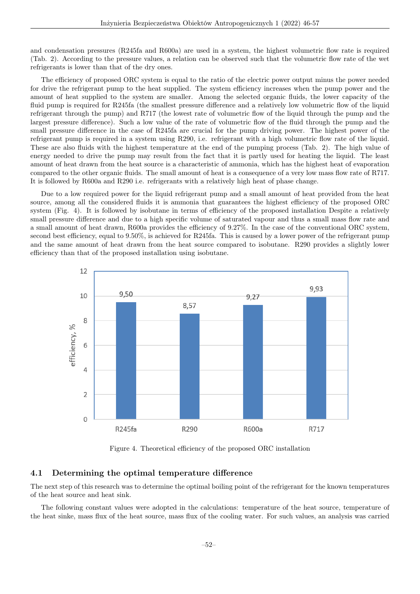and condensation pressures (R245fa and R600a) are used in a system, the highest volumetric flow rate is required (Tab. 2). According to the pressure values, a relation can be observed such that the volumetric flow rate of the wet refrigerants is lower than that of the dry ones.

The efficiency of proposed ORC system is equal to the ratio of the electric power output minus the power needed for drive the refrigerant pump to the heat supplied. The system efficiency increases when the pump power and the amount of heat supplied to the system are smaller. Among the selected organic fluids, the lower capacity of the fluid pump is required for R245fa (the smallest pressure difference and a relatively low volumetric flow of the liquid refrigerant through the pump) and R717 (the lowest rate of volumetric flow of the liquid through the pump and the largest pressure difference). Such a low value of the rate of volumetric flow of the fluid through the pump and the small pressure difference in the case of R245fa are crucial for the pump driving power. The highest power of the refrigerant pump is required in a system using R290, i.e. refrigerant with a high volumetric flow rate of the liquid. These are also fluids with the highest temperature at the end of the pumping process (Tab. 2). The high value of energy needed to drive the pump may result from the fact that it is partly used for heating the liquid. The least amount of heat drawn from the heat source is a characteristic of ammonia, which has the highest heat of evaporation compared to the other organic fluids. The small amount of heat is a consequence of a very low mass flow rate of R717. It is followed by R600a and R290 i.e. refrigerants with a relatively high heat of phase change.

Due to a low required power for the liquid refrigerant pump and a small amount of heat provided from the heat source, among all the considered fluids it is ammonia that guarantees the highest efficiency of the proposed ORC system (Fig. 4). It is followed by isobutane in terms of efficiency of the proposed installation Despite a relatively small pressure difference and due to a high specific volume of saturated vapour and thus a small mass flow rate and a small amount of heat drawn, R600a provides the efficiency of 9.27%. In the case of the conventional ORC system, second best efficiency, equal to 9.50%, is achieved for R245fa. This is caused by a lower power of the refrigerant pump and the same amount of heat drawn from the heat source compared to isobutane. R290 provides a slightly lower efficiency than that of the proposed installation using isobutane.



Figure 4. Theoretical efficiency of the proposed ORC installation

#### 4.1 Determining the optimal temperature difference

The next step of this research was to determine the optimal boiling point of the refrigerant for the known temperatures of the heat source and heat sink.

The following constant values were adopted in the calculations: temperature of the heat source, temperature of the heat sinke, mass flux of the heat source, mass flux of the cooling water. For such values, an analysis was carried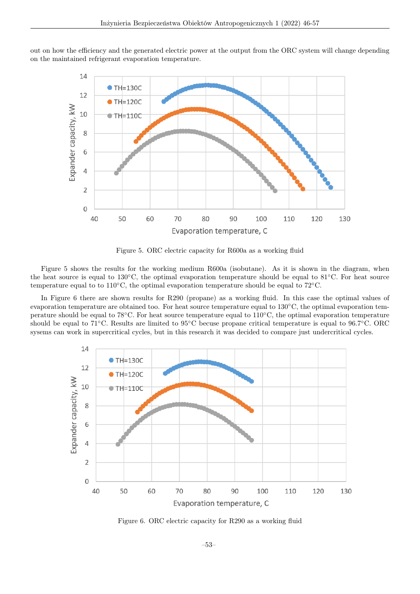out on how the efficiency and the generated electric power at the output from the ORC system will change depending on the maintained refrigerant evaporation temperature.



Figure 5. ORC electric capacity for R600a as a working fluid

Figure 5 shows the results for the working medium R600a (isobutane). As it is shown in the diagram, when the heat source is equal to 130◦C, the optimal evaporation temperature should be equal to 81◦C. For heat source temperature equal to to 110◦C, the optimal evaporation temperature should be equal to 72◦C.

In Figure 6 there are shown results for R290 (propane) as a working fluid. In this case the optimal values of evaporation temperature are obtained too. For heat source temperature equal to 130◦C, the optimal evaporation temperature should be equal to 78◦C. For heat source temperature equal to 110◦C, the optimal evaporation temperature should be equal to 71◦C. Results are limited to 95◦C becuse propane critical temperature is equal to 96.7◦C. ORC sysems can work in supercritical cycles, but in this research it was decided to compare just undercritical cycles.



Figure 6. ORC electric capacity for R290 as a working fluid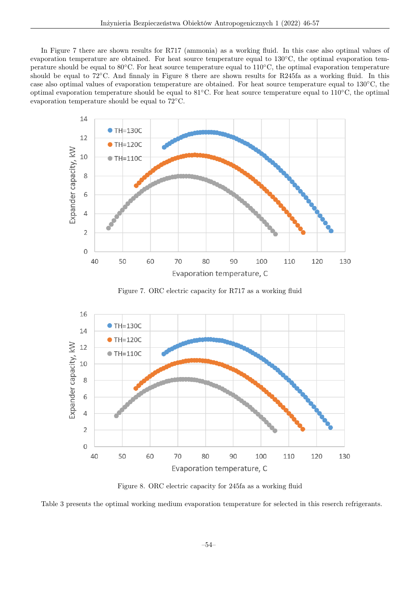In Figure 7 there are shown results for R717 (ammonia) as a working fluid. In this case also optimal values of evaporation temperature are obtained. For heat source temperature equal to 130◦C, the optimal evaporation temperature should be equal to 80◦C. For heat source temperature equal to 110◦C, the optimal evaporation temperature should be equal to 72°C. And finnaly in Figure 8 there are shown results for R245fa as a working fluid. In this case also optimal values of evaporation temperature are obtained. For heat source temperature equal to 130◦C, the optimal evaporation temperature should be equal to 81◦C. For heat source temperature equal to 110◦C, the optimal evaporation temperature should be equal to 72◦C.



Figure 7. ORC electric capacity for R717 as a working fluid



Figure 8. ORC electric capacity for 245fa as a working fluid

Table 3 presents the optimal working medium evaporation temperature for selected in this reserch refrigerants.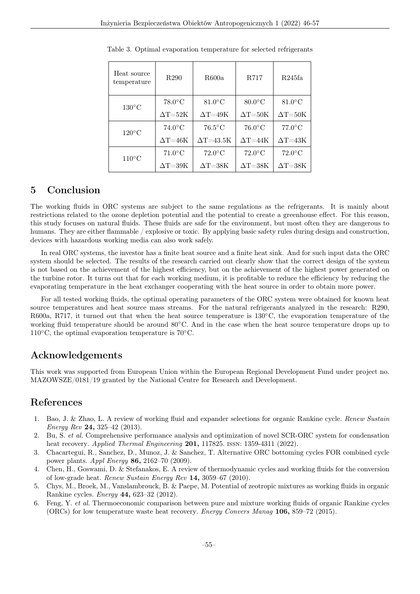| Heat source<br>temperature | R <sub>290</sub>              | R600a            | R.717               | R245fa           |
|----------------------------|-------------------------------|------------------|---------------------|------------------|
| $130^{\circ}$ C            | $78.0^{\circ}$ C              | $81.0^{\circ}$ C | $80.0\degree$ C     | $81.0\degree$ C  |
|                            | $\Delta\text{T=}52\text{K}$   | $\Delta T = 49K$ | $\Delta T = 50K$    | $\Delta T = 50K$ |
| $120^{\circ}$ C            | $74.0\degree$ C               | $76.5^{\circ}$ C | $76.0\degree$ C     | $77.0^{\circ}$ C |
|                            | $\Delta {\rm T}{=}46 {\rm K}$ | $\Delta$ T=43.5K | $\Delta T = 44K$    | $\Delta T = 43K$ |
| $110^{\circ}$ C            | $71.0\degree$ C               | $72.0^{\circ}$ C | $72.0\textdegree C$ | $72.0^{\circ}$ C |
|                            | $\Delta\text{T=}39\text{K}$   | $\Delta T = 38K$ | $\Delta T = 38K$    | $\Delta T = 38K$ |

Table 3. Optimal evaporation temperature for selected refrigerants

### 5 Conclusion

The working fluids in ORC systems are subject to the same regulations as the refrigerants. It is mainly about restrictions related to the ozone depletion potential and the potential to create a greenhouse effect. For this reason, this study focuses on natural fluids. These fluids are safe for the environment, but most often they are dangerous to humans. They are either flammable / explosive or toxic. By applying basic safety rules during design and construction, devices with hazardous working media can also work safely.

In real ORC systems, the investor has a finite heat source and a finite heat sink. And for such input data the ORC system should be selected. The results of the research carried out clearly show that the correct design of the system is not based on the achievement of the highest efficiency, but on the achievement of the highest power generated on the turbine rotor. It turns out that for each working medium, it is profitable to reduce the efficiency by reducing the evaporating temperature in the heat exchanger cooperating with the heat source in order to obtain more power.

For all tested working fluids, the optimal operating parameters of the ORC system were obtained for known heat source temperatures and heat source mass streams. For the natural refrigerants analyzed in the research: R290, R600a, R717, it turned out that when the heat source temperature is 130◦C, the evaporation temperature of the working fluid temperature should be around 80◦C. And in the case when the heat source temperature drops up to  $110\textdegree$ C, the optimal evaporation temperature is 70 $\textdegree$ C.

#### Acknowledgements

This work was supported from European Union within the European Regional Development Fund under project no. MAZOWSZE/0181/19 granted by the National Centre for Research and Development.

#### References

- 1. Bao, J. & Zhao, L. A review of working fluid and expander selections for organic Rankine cycle. Renew Sustain Energy Rev 24, 325–42 (2013).
- 2. Bu, S. et al. Comprehensive performance analysis and optimization of novel SCR-ORC system for condensation heat recovery. *Applied Thermal Engineering* **201**, 117825. ISSN: 1359-4311 (2022).
- 3. Chacartegui, R., Sanchez, D., Munoz, J. & Sanchez, T. Alternative ORC bottoming cycles FOR combined cycle power plants. Appl Energy 86, 2162–70 (2009).
- 4. Chen, H., Goswami, D. & Stefanakos, E. A review of thermodynamic cycles and working fluids for the conversion of low-grade heat. Renew Sustain Energy Rev 14, 3059–67 (2010).
- 5. Chys, M., Broek, M., Vanslambrouck, B. & Paepe, M. Potential of zeotropic mixtures as working fluids in organic Rankine cycles. Energy 44, 623–32 (2012).
- 6. Feng, Y. et al. Thermoeconomic comparison between pure and mixture working fluids of organic Rankine cycles (ORCs) for low temperature waste heat recovery. Energy Convers Manag 106, 859–72 (2015).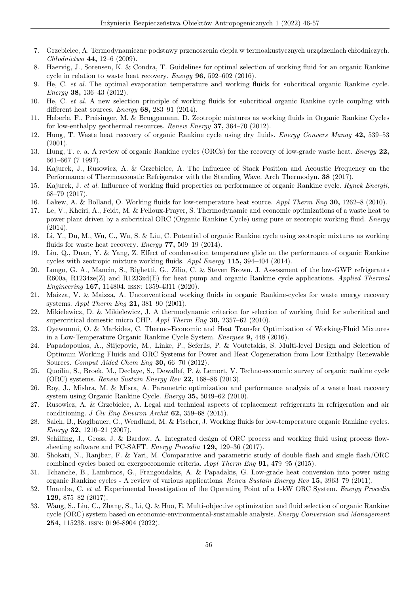- 7. Grzebielec, A. Termodynamiczne podstawy przenoszenia ciepła w termoakustycznych urządzeniach chłodniczych. Chłodnictwo 44, 12–6 (2009).
- 8. Haervig, J., Sorensen, K. & Condra, T. Guidelines for optimal selection of working fluid for an organic Rankine cycle in relation to waste heat recovery. Energy 96, 592–602 (2016).
- 9. He, C. et al. The optimal evaporation temperature and working fluids for subcritical organic Rankine cycle. Energy 38, 136–43 (2012).
- 10. He, C. et al. A new selection principle of working fluids for subcritical organic Rankine cycle coupling with different heat sources. *Energy* **68**, 283–91 (2014).
- 11. Heberle, F., Preisinger, M. & Bruggemann, D. Zeotropic mixtures as working fluids in Organic Rankine Cycles for low-enthalpy geothermal resources. Renew Energy 37, 364–70 (2012).
- 12. Hung, T. Waste heat recovery of organic Rankine cycle using dry fluids. Energy Convers Manag 42, 539–53 (2001).
- 13. Hung, T. e. a. A review of organic Rankine cycles (ORCs) for the recovery of low-grade waste heat. Energy 22, 661–667 (7 1997).
- 14. Kajurek, J., Rusowicz, A. & Grzebielec, A. The Influence of Stack Position and Acoustic Frequency on the Performance of Thermoacoustic Refrigerator with the Standing Wave. Arch Thermodyn. 38 (2017).
- 15. Kajurek, J. et al. Influence of working fluid properties on performance of organic Rankine cycle. Rynek Energii, 68–79 (2017).
- 16. Lakew, A. & Bolland, O. Working fluids for low-temperature heat source. Appl Therm Eng 30, 1262–8 (2010).
- 17. Le, V., Kheiri, A., Feidt, M. & Pelloux-Prayer, S. Thermodynamic and economic optimizations of a waste heat to power plant driven by a subcritical ORC (Organic Rankine Cycle) using pure or zeotropic working fluid. Energy (2014).
- 18. Li, Y., Du, M., Wu, C., Wu, S. & Liu, C. Potential of organic Rankine cycle using zeotropic mixtures as working fluids for waste heat recovery. *Energy* 77, 509-19 (2014).
- 19. Liu, Q., Duan, Y. & Yang, Z. Effect of condensation temperature glide on the performance of organic Rankine cycles with zeotropic mixture working fluids. Appl Energy 115, 394–404 (2014).
- 20. Longo, G. A., Mancin, S., Righetti, G., Zilio, C. & Steven Brown, J. Assessment of the low-GWP refrigerants R600a, R1234ze(Z) and R1233zd(E) for heat pump and organic Rankine cycle applications. Applied Thermal Engineering 167, 114804. issn: 1359-4311 (2020).
- 21. Maizza, V. & Maizza, A. Unconventional working fluids in organic Rankine-cycles for waste energy recovery systems. Appl Therm Eng 21, 381–90 (2001).
- 22. Mikielewicz, D. & Mikielewicz, J. A thermodynamic criterion for selection of working fluid for subcritical and supercritical domestic micro CHP. Appl Therm Eng 30, 2357–62 (2010).
- 23. Oyewunmi, O. & Markides, C. Thermo-Economic and Heat Transfer Optimization of Working-Fluid Mixtures in a Low-Temperature Organic Rankine Cycle System. Energies 9, 448 (2016).
- 24. Papadopoulos, A., Stijepovic, M., Linke, P., Seferlis, P. & Voutetakis, S. Multi-level Design and Selection of Optimum Working Fluids and ORC Systems for Power and Heat Cogeneration from Low Enthalpy Renewable Sources. Comput Aided Chem Eng 30, 66–70 (2012).
- 25. Quoilin, S., Broek, M., Declaye, S., Dewallef, P. & Lemort, V. Techno-economic survey of organic rankine cycle (ORC) systems. Renew Sustain Energy Rev 22, 168–86 (2013).
- 26. Roy, J., Mishra, M. & Misra, A. Parametric optimization and performance analysis of a waste heat recovery system using Organic Rankine Cycle. Energy 35, 5049–62 (2010).
- 27. Rusowicz, A. & Grzebielec, A. Legal and technical aspects of replacement refrigerants in refrigeration and air conditioning. J Civ Eng Environ Archit 62, 359–68 (2015).
- 28. Saleh, B., Koglbauer, G., Wendland, M. & Fischer, J. Working fluids for low-temperature organic Rankine cycles. Energy 32, 1210–21 (2007).
- 29. Schilling, J., Gross, J. & Bardow, A. Integrated design of ORC process and working fluid using process flowsheeting software and PC-SAFT. Energy Procedia 129, 129–36 (2017).
- 30. Shokati, N., Ranjbar, F. & Yari, M. Comparative and parametric study of double flash and single flash/ORC combined cycles based on exergoeconomic criteria. Appl Therm Eng 91, 479–95 (2015).
- 31. Tchanche, B., Lambrnos, G., Frangoudakis, A. & Papadakis, G. Low-grade heat conversion into power using organic Rankine cycles - A review of various applications. Renew Sustain Energy Rev 15, 3963–79 (2011).
- 32. Unamba, C. et al. Experimental Investigation of the Operating Point of a 1-kW ORC System. Energy Procedia 129, 875–82 (2017).
- 33. Wang, S., Liu, C., Zhang, S., Li, Q. & Huo, E. Multi-objective optimization and fluid selection of organic Rankine cycle (ORC) system based on economic-environmental-sustainable analysis. Energy Conversion and Management 254, 115238. issn: 0196-8904 (2022).